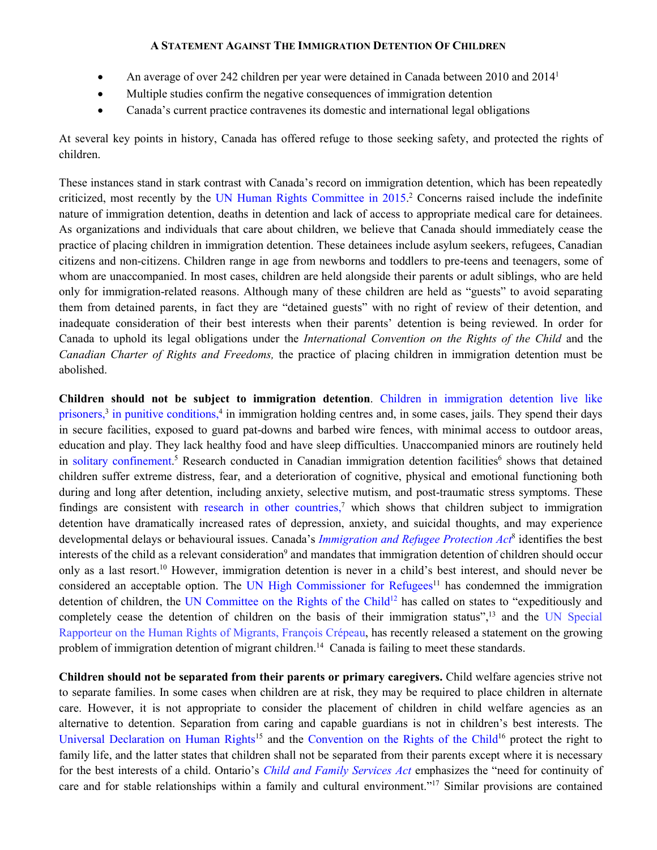- An average of over 242 children per year were detained in Canada between 20[1](#page-11-0)0 and 2014<sup>1</sup>
- Multiple studies confirm the negative consequences of immigration detention
- Canada's current practice contravenes its domestic and international legal obligations

At several key points in history, Canada has offered refuge to those seeking safety, and protected the rights of children.

These instances stand in stark contrast with Canada's record on immigration detention, which has been repeatedly criticized, most recently by the [UN Human Rights Committee in 2015.](http://ihrp.law.utoronto.ca/un-human-rights-committees-2015-review-canada) [2](#page-11-1) Concerns raised include the indefinite nature of immigration detention, deaths in detention and lack of access to appropriate medical care for detainees. As organizations and individuals that care about children, we believe that Canada should immediately cease the practice of placing children in immigration detention. These detainees include asylum seekers, refugees, Canadian citizens and non-citizens. Children range in age from newborns and toddlers to pre-teens and teenagers, some of whom are unaccompanied. In most cases, children are held alongside their parents or adult siblings, who are held only for immigration-related reasons. Although many of these children are held as "guests" to avoid separating them from detained parents, in fact they are "detained guests" with no right of review of their detention, and inadequate consideration of their best interests when their parents' detention is being reviewed. In order for Canada to uphold its legal obligations under the *International Convention on the Rights of the Child* and the *Canadian Charter of Rights and Freedoms,* the practice of placing children in immigration detention must be abolished.

**Children should not be subject to immigration detention**. [Children in immigration detention live like](http://www.cbc.ca/news/canada/detention-centres-no-place-for-migrant-children-critics-argue-1.1169993)  [prisoners,](http://www.cbc.ca/news/canada/detention-centres-no-place-for-migrant-children-critics-argue-1.1169993)<sup>3</sup> [in punitive conditions,](http://www.cbc.ca/news/canada/detention-centres-no-place-for-migrant-children-critics-argue-1.1169993)<sup>4</sup> in immigration holding centres and, in some cases, jails. They spend their days in secure facilities, exposed to guard pat-downs and barbed wire fences, with minimal access to outdoor areas, education and play. They lack healthy food and have sleep difficulties. Unaccompanied minors are routinely held in [solitary confinement.](http://www.theglobeandmail.com/opinion/an-inexcusable-travesty-canada-sent-a-syrian-minor-to-solitary-confinement/article28781118/)<sup>[5](#page-11-4)</sup> Research conducted in Canadian immigration detention facilities<sup>6</sup> shows that detained children suffer extreme distress, fear, and a deterioration of cognitive, physical and emotional functioning both during and long after detention, including anxiety, selective mutism, and post-traumatic stress symptoms. These findings are consistent with [research in other countries,](https://www.childrenssociety.org.uk/sites/default/files/tcs/research_docs/Yarl%27sWoodDoctor%27sReport.pdf)<sup>7</sup> which shows that children subject to immigration detention have dramatically increased rates of depression, anxiety, and suicidal thoughts, and may experience developmental delays or behavioural issues. Canada's *[Immigration and Refugee Protection Act](http://laws.justice.gc.ca/eng/acts/i-2.5/fulltext.html)*[8](#page-11-7) identifies the best interests of the child as a relevant consideration<sup>9</sup> and mandates that immigration detention of children should occur only as a last resort.[10](#page-11-9) However, immigration detention is never in a child's best interest, and should never be considered an acceptable option. The [UN High Commissioner for Refugees](http://www.unhcr.org/53aa929f6)<sup>11</sup> has condemned the immigration detention of children, the [UN Committee on the Rights of the Child](http://www2.ohchr.org/english/bodies/crc/docs/discussion2012/ReportDGDChildrenAndMigration2012.pdf)<sup>12</sup> has called on states to "expeditiously and completely cease the detention of children on the basis of their immigration status",<sup>13</sup> and the UN Special [Rapporteur on the Human Rights of Migrants, François Crépeau,](https://theconversation.com/any-detention-of-migrant-children-is-a-violation-of-their-rights-and-must-end-64985) has recently released a statement on the growing problem of immigration detention of migrant children.<sup>14</sup> Canada is failing to meet these standards.

**Children should not be separated from their parents or primary caregivers.** Child welfare agencies strive not to separate families. In some cases when children are at risk, they may be required to place children in alternate care. However, it is not appropriate to consider the placement of children in child welfare agencies as an alternative to detention. Separation from caring and capable guardians is not in children's best interests. The [Universal Declaration on Human Rights](http://www.ohchr.org/EN/UDHR/Documents/UDHR_Translations/eng.pdf)<sup>15</sup> and the [Convention on the Rights of the Child](http://www.ohchr.org/en/professionalinterest/pages/crc.aspx)<sup>16</sup> protect the right to family life, and the latter states that children shall not be separated from their parents except where it is necessary for the best interests of a child. Ontario's *[Child and Family Services Act](https://www.ontario.ca/laws/statute/90c11?search=child+and+family+services)* emphasizes the "need for continuity of care and for stable relationships within a family and cultural environment."<sup>17</sup> Similar provisions are contained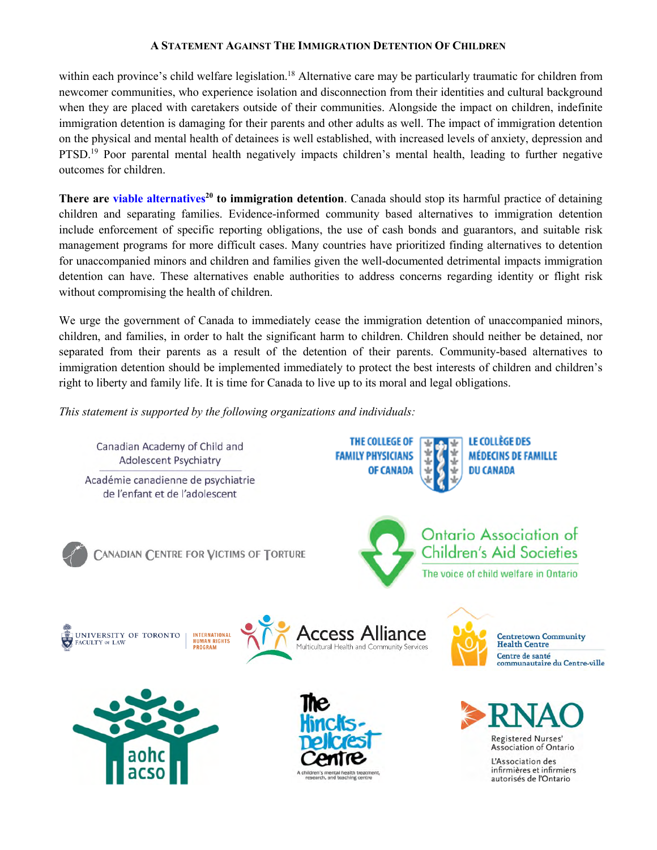within each province's child welfare legislation.<sup>18</sup> Alternative care may be particularly traumatic for children from newcomer communities, who experience isolation and disconnection from their identities and cultural background when they are placed with caretakers outside of their communities. Alongside the impact on children, indefinite immigration detention is damaging for their parents and other adults as well. The impact of immigration detention on the physical and mental health of detainees is well established, with increased levels of anxiety, depression and PTSD.<sup>19</sup> Poor parental mental health negatively impacts children's mental health, leading to further negative outcomes for children.

**There are [viable alternatives](http://idcoalition.org/publication/view/there-are-alternatives-revised-edition/)[20](#page-11-19) to immigration detention**. Canada should stop its harmful practice of detaining children and separating families. Evidence-informed community based alternatives to immigration detention include enforcement of specific reporting obligations, the use of cash bonds and guarantors, and suitable risk management programs for more difficult cases. Many countries have prioritized finding alternatives to detention for unaccompanied minors and children and families given the well-documented detrimental impacts immigration detention can have. These alternatives enable authorities to address concerns regarding identity or flight risk without compromising the health of children.

We urge the government of Canada to immediately cease the immigration detention of unaccompanied minors, children, and families, in order to halt the significant harm to children. Children should neither be detained, nor separated from their parents as a result of the detention of their parents. Community-based alternatives to immigration detention should be implemented immediately to protect the best interests of children and children's right to liberty and family life. It is time for Canada to live up to its moral and legal obligations.

*This statement is supported by the following organizations and individuals:* 

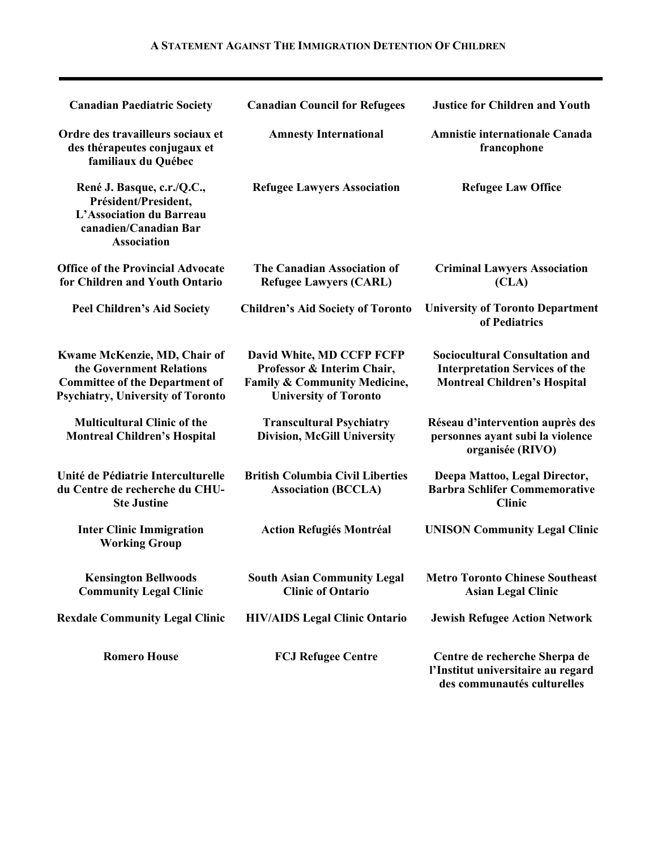| <b>Canadian Paediatric Society</b>                                                                                                            | <b>Canadian Council for Refugees</b>                                                                                               | <b>Justice for Children and Youth</b>                                                                                 |
|-----------------------------------------------------------------------------------------------------------------------------------------------|------------------------------------------------------------------------------------------------------------------------------------|-----------------------------------------------------------------------------------------------------------------------|
| Ordre des travailleurs sociaux et<br>des thérapeutes conjugaux et<br>familiaux du Québec                                                      | <b>Amnesty International</b>                                                                                                       | <b>Amnistie internationale Canada</b><br>francophone                                                                  |
| René J. Basque, c.r./Q.C.,<br>Président/President,<br>L'Association du Barreau<br>canadien/Canadian Bar<br><b>Association</b>                 | <b>Refugee Lawyers Association</b>                                                                                                 | <b>Refugee Law Office</b>                                                                                             |
| <b>Office of the Provincial Advocate</b><br>for Children and Youth Ontario                                                                    | The Canadian Association of<br><b>Refugee Lawyers (CARL)</b>                                                                       | <b>Criminal Lawyers Association</b><br>(CLA)                                                                          |
| <b>Peel Children's Aid Society</b>                                                                                                            | <b>Children's Aid Society of Toronto</b>                                                                                           | <b>University of Toronto Department</b><br>of Pediatrics                                                              |
| Kwame McKenzie, MD, Chair of<br>the Government Relations<br><b>Committee of the Department of</b><br><b>Psychiatry, University of Toronto</b> | David White, MD CCFP FCFP<br>Professor & Interim Chair,<br><b>Family &amp; Community Medicine,</b><br><b>University of Toronto</b> | <b>Sociocultural Consultation and</b><br><b>Interpretation Services of the</b><br><b>Montreal Children's Hospital</b> |
| <b>Multicultural Clinic of the</b><br><b>Montreal Children's Hospital</b>                                                                     | <b>Transcultural Psychiatry</b><br><b>Division, McGill University</b>                                                              | Réseau d'intervention auprès des<br>personnes ayant subi la violence<br>organisée (RIVO)                              |
| Unité de Pédiatrie Interculturelle<br>du Centre de recherche du CHU-<br><b>Ste Justine</b>                                                    | <b>British Columbia Civil Liberties</b><br><b>Association (BCCLA)</b>                                                              | Deepa Mattoo, Legal Director,<br><b>Barbra Schlifer Commemorative</b><br><b>Clinic</b>                                |
| <b>Inter Clinic Immigration</b><br><b>Working Group</b>                                                                                       | <b>Action Refugiés Montréal</b>                                                                                                    | <b>UNISON Community Legal Clinic</b>                                                                                  |
| <b>Kensington Bellwoods</b><br><b>Community Legal Clinic</b>                                                                                  | <b>South Asian Community Legal</b><br><b>Clinic of Ontario</b>                                                                     | <b>Metro Toronto Chinese Southeast</b><br><b>Asian Legal Clinic</b>                                                   |
| <b>Rexdale Community Legal Clinic</b>                                                                                                         | <b>HIV/AIDS Legal Clinic Ontario</b>                                                                                               | <b>Jewish Refugee Action Network</b>                                                                                  |
| <b>Romero House</b>                                                                                                                           | <b>FCJ Refugee Centre</b>                                                                                                          | Centre de recherche Sherpa de<br>l'Institut universitaire au regard<br>des communautés culturelles                    |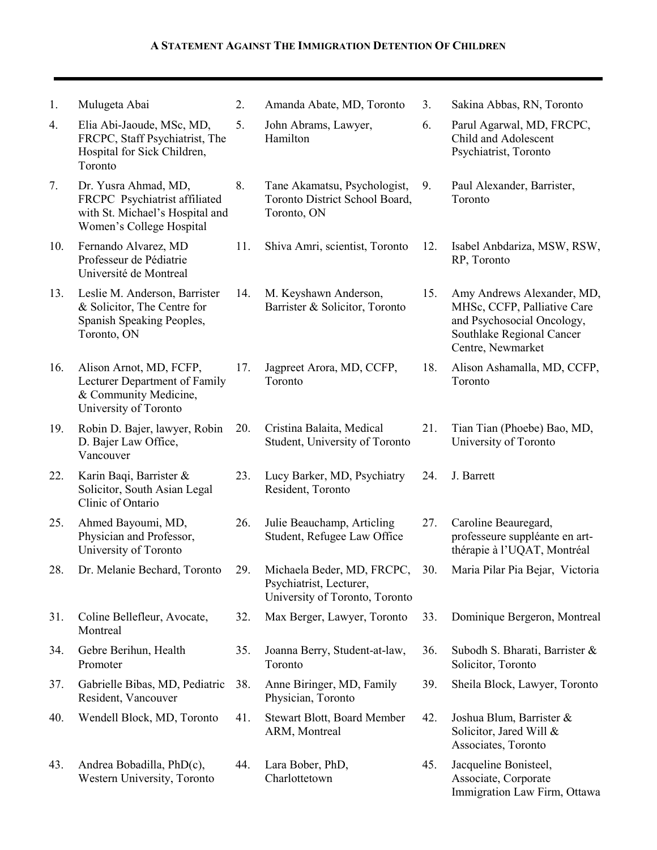1. Mulugeta Abai 2. Amanda Abate, MD, Toronto 3. Sakina Abbas, RN, Toronto 4. Elia Abi-Jaoude, MSc, MD, FRCPC, Staff Psychiatrist, The Hospital for Sick Children, Toronto 5. John Abrams, Lawyer, Hamilton 6. Parul Agarwal, MD, FRCPC, Child and Adolescent Psychiatrist, Toronto 7. Dr. Yusra Ahmad, MD, FRCPC Psychiatrist affiliated with St. Michael's Hospital and Women's College Hospital 8. Tane Akamatsu, Psychologist, Toronto District School Board, Toronto, ON 9. Paul Alexander, Barrister, Toronto 10. Fernando Alvarez, MD Professeur de Pédiatrie Université de Montreal 11. Shiva Amri, scientist, Toronto 12. Isabel Anbdariza, MSW, RSW, RP, Toronto 13. Leslie M. Anderson, Barrister & Solicitor, The Centre for Spanish Speaking Peoples, Toronto, ON 14. M. Keyshawn Anderson, Barrister & Solicitor, Toronto 15. Amy Andrews Alexander, MD, MHSc, CCFP, Palliative Care and Psychosocial Oncology, Southlake Regional Cancer Centre, Newmarket 16. Alison Arnot, MD, FCFP, Lecturer Department of Family & Community Medicine, University of Toronto 17. Jagpreet Arora, MD, CCFP, Toronto 18. Alison Ashamalla, MD, CCFP, Toronto 19. Robin D. Bajer, lawyer, Robin D. Bajer Law Office, Vancouver 20. Cristina Balaita, Medical Student, University of Toronto 21. Tian Tian (Phoebe) Bao, MD, University of Toronto 22. Karin Baqi, Barrister & Solicitor, South Asian Legal Clinic of Ontario 23. Lucy Barker, MD, Psychiatry Resident, Toronto 24. J. Barrett 25. Ahmed Bayoumi, MD, Physician and Professor, University of Toronto 26. Julie Beauchamp, Articling Student, Refugee Law Office 27. Caroline Beauregard, professeure suppléante en artthérapie à l'UQAT, Montréal 28. Dr. Melanie Bechard, Toronto 29. Michaela Beder, MD, FRCPC, Psychiatrist, Lecturer, University of Toronto, Toronto 30. Maria Pilar Pia Bejar, Victoria 31. Coline Bellefleur, Avocate, Montreal 32. Max Berger, Lawyer, Toronto 33. Dominique Bergeron, Montreal 34. Gebre Berihun, Health Promoter 35. Joanna Berry, Student-at-law, Toronto 36. Subodh S. Bharati, Barrister & Solicitor, Toronto 37. Gabrielle Bibas, MD, Pediatric Resident, Vancouver 38. Anne Biringer, MD, Family Physician, Toronto 39. Sheila Block, Lawyer, Toronto 40. Wendell Block, MD, Toronto 41. Stewart Blott, Board Member ARM, Montreal 42. Joshua Blum, Barrister & Solicitor, Jared Will & Associates, Toronto 43. Andrea Bobadilla, PhD(c), Western University, Toronto 44. Lara Bober, PhD, Charlottetown 45. Jacqueline Bonisteel, Associate, Corporate Immigration Law Firm, Ottawa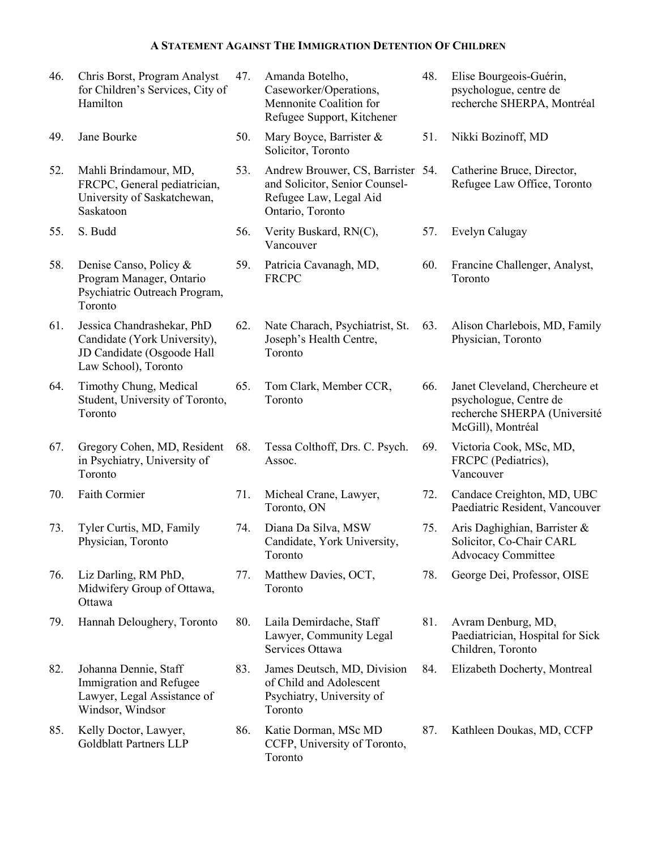| 46. | Chris Borst, Program Analyst<br>for Children's Services, City of<br>Hamilton                                     | 47. | Amanda Botelho,<br>Caseworker/Operations,<br>Mennonite Coalition for<br>Refugee Support, Kitchener                | 48. | Elise Bourgeois-Guérin,<br>psychologue, centre de<br>recherche SHERPA, Montréal                               |
|-----|------------------------------------------------------------------------------------------------------------------|-----|-------------------------------------------------------------------------------------------------------------------|-----|---------------------------------------------------------------------------------------------------------------|
| 49. | Jane Bourke                                                                                                      | 50. | Mary Boyce, Barrister &<br>Solicitor, Toronto                                                                     | 51. | Nikki Bozinoff, MD                                                                                            |
| 52. | Mahli Brindamour, MD,<br>FRCPC, General pediatrician,<br>University of Saskatchewan,<br>Saskatoon                | 53. | Andrew Brouwer, CS, Barrister 54.<br>and Solicitor, Senior Counsel-<br>Refugee Law, Legal Aid<br>Ontario, Toronto |     | Catherine Bruce, Director,<br>Refugee Law Office, Toronto                                                     |
| 55. | S. Budd                                                                                                          | 56. | Verity Buskard, RN(C),<br>Vancouver                                                                               | 57. | Evelyn Calugay                                                                                                |
| 58. | Denise Canso, Policy &<br>Program Manager, Ontario<br>Psychiatric Outreach Program,<br>Toronto                   | 59. | Patricia Cavanagh, MD,<br><b>FRCPC</b>                                                                            | 60. | Francine Challenger, Analyst,<br>Toronto                                                                      |
| 61. | Jessica Chandrashekar, PhD<br>Candidate (York University),<br>JD Candidate (Osgoode Hall<br>Law School), Toronto | 62. | Nate Charach, Psychiatrist, St.<br>Joseph's Health Centre,<br>Toronto                                             | 63. | Alison Charlebois, MD, Family<br>Physician, Toronto                                                           |
| 64. | Timothy Chung, Medical<br>Student, University of Toronto,<br>Toronto                                             | 65. | Tom Clark, Member CCR,<br>Toronto                                                                                 | 66. | Janet Cleveland, Chercheure et<br>psychologue, Centre de<br>recherche SHERPA (Université<br>McGill), Montréal |
| 67. | Gregory Cohen, MD, Resident<br>in Psychiatry, University of<br>Toronto                                           | 68. | Tessa Colthoff, Drs. C. Psych.<br>Assoc.                                                                          | 69. | Victoria Cook, MSc, MD,<br>FRCPC (Pediatrics),<br>Vancouver                                                   |
| 70. | <b>Faith Cormier</b>                                                                                             | 71. | Micheal Crane, Lawyer,<br>Toronto, ON                                                                             | 72. | Candace Creighton, MD, UBC<br>Paediatric Resident, Vancouver                                                  |
| 73. | Tyler Curtis, MD, Family<br>Physician, Toronto                                                                   | 74. | Diana Da Silva, MSW<br>Candidate, York University,<br>Toronto                                                     | 75. | Aris Daghighian, Barrister &<br>Solicitor, Co-Chair CARL<br><b>Advocacy Committee</b>                         |
| 76. | Liz Darling, RM PhD,<br>Midwifery Group of Ottawa,<br>Ottawa                                                     | 77. | Matthew Davies, OCT,<br>Toronto                                                                                   | 78. | George Dei, Professor, OISE                                                                                   |
| 79. | Hannah Deloughery, Toronto                                                                                       | 80. | Laila Demirdache, Staff<br>Lawyer, Community Legal<br>Services Ottawa                                             | 81. | Avram Denburg, MD,<br>Paediatrician, Hospital for Sick<br>Children, Toronto                                   |
| 82. | Johanna Dennie, Staff<br>Immigration and Refugee<br>Lawyer, Legal Assistance of<br>Windsor, Windsor              | 83. | James Deutsch, MD, Division<br>of Child and Adolescent<br>Psychiatry, University of<br>Toronto                    | 84. | Elizabeth Docherty, Montreal                                                                                  |
| 85. | Kelly Doctor, Lawyer,<br><b>Goldblatt Partners LLP</b>                                                           | 86. | Katie Dorman, MSc MD<br>CCFP, University of Toronto,<br>Toronto                                                   | 87. | Kathleen Doukas, MD, CCFP                                                                                     |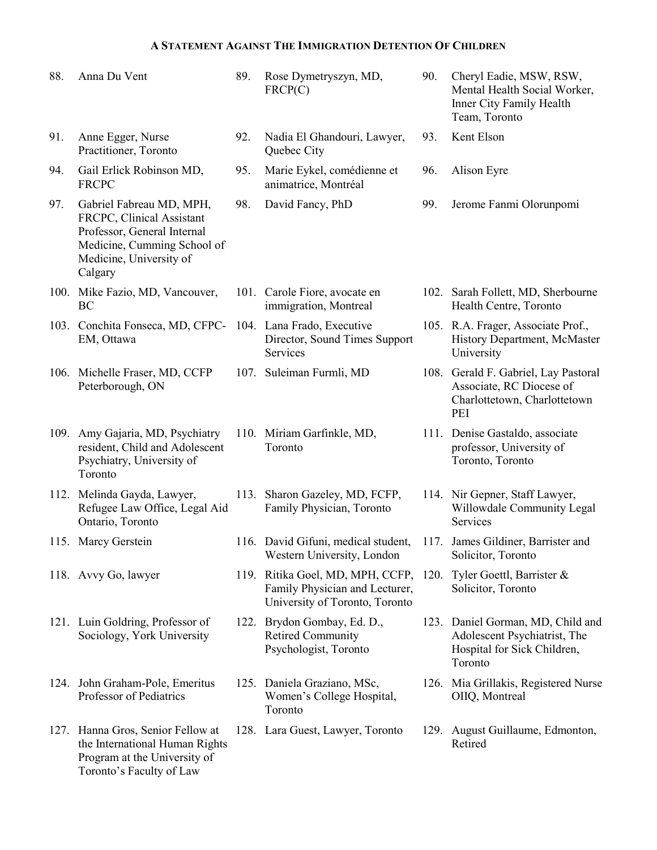| 88.  | Anna Du Vent                                                                                                                                              | 89. | Rose Dymetryszyn, MD,<br>FRCP(C)                                                                     | 90.  | Cheryl Eadie, MSW, RSW,<br>Mental Health Social Worker,<br>Inner City Family Health<br>Team, Toronto        |
|------|-----------------------------------------------------------------------------------------------------------------------------------------------------------|-----|------------------------------------------------------------------------------------------------------|------|-------------------------------------------------------------------------------------------------------------|
| 91.  | Anne Egger, Nurse<br>Practitioner, Toronto                                                                                                                | 92. | Nadia El Ghandouri, Lawyer,<br>Quebec City                                                           | 93.  | Kent Elson                                                                                                  |
| 94.  | Gail Erlick Robinson MD,<br><b>FRCPC</b>                                                                                                                  | 95. | Marie Eykel, comédienne et<br>animatrice, Montréal                                                   | 96.  | Alison Eyre                                                                                                 |
| 97.  | Gabriel Fabreau MD, MPH,<br>FRCPC, Clinical Assistant<br>Professor, General Internal<br>Medicine, Cumming School of<br>Medicine, University of<br>Calgary | 98. | David Fancy, PhD                                                                                     | 99.  | Jerome Fanmi Olorunpomi                                                                                     |
|      | 100. Mike Fazio, MD, Vancouver,<br>BC                                                                                                                     |     | 101. Carole Fiore, avocate en<br>immigration, Montreal                                               |      | 102. Sarah Follett, MD, Sherbourne<br>Health Centre, Toronto                                                |
|      | 103. Conchita Fonseca, MD, CFPC-<br>EM, Ottawa                                                                                                            |     | 104. Lana Frado, Executive<br>Director, Sound Times Support<br>Services                              |      | 105. R.A. Frager, Associate Prof.,<br>History Department, McMaster<br>University                            |
|      | 106. Michelle Fraser, MD, CCFP<br>Peterborough, ON                                                                                                        |     | 107. Suleiman Furmli, MD                                                                             |      | 108. Gerald F. Gabriel, Lay Pastoral<br>Associate, RC Diocese of<br>Charlottetown, Charlottetown<br>PEI     |
|      | 109. Amy Gajaria, MD, Psychiatry<br>resident, Child and Adolescent<br>Psychiatry, University of<br>Toronto                                                |     | 110. Miriam Garfinkle, MD,<br>Toronto                                                                |      | 111. Denise Gastaldo, associate<br>professor, University of<br>Toronto, Toronto                             |
|      | 112. Melinda Gayda, Lawyer,<br>Refugee Law Office, Legal Aid<br>Ontario, Toronto                                                                          |     | 113. Sharon Gazeley, MD, FCFP,<br>Family Physician, Toronto                                          |      | 114. Nir Gepner, Staff Lawyer,<br>Willowdale Community Legal<br>Services                                    |
|      | 115. Marcy Gerstein                                                                                                                                       |     | 116. David Gifuni, medical student,<br>Western University, London                                    |      | 117. James Gildiner, Barrister and<br>Solicitor, Toronto                                                    |
|      | 118. Avvy Go, lawyer                                                                                                                                      |     | 119. Ritika Goel, MD, MPH, CCFP,<br>Family Physician and Lecturer,<br>University of Toronto, Toronto | 120. | Tyler Goettl, Barrister $\&$<br>Solicitor, Toronto                                                          |
|      | 121. Luin Goldring, Professor of<br>Sociology, York University                                                                                            |     | 122. Brydon Gombay, Ed. D.,<br><b>Retired Community</b><br>Psychologist, Toronto                     |      | 123. Daniel Gorman, MD, Child and<br>Adolescent Psychiatrist, The<br>Hospital for Sick Children,<br>Toronto |
|      | 124. John Graham-Pole, Emeritus<br>Professor of Pediatrics                                                                                                |     | 125. Daniela Graziano, MSc,<br>Women's College Hospital,<br>Toronto                                  |      | 126. Mia Grillakis, Registered Nurse<br>OIIQ, Montreal                                                      |
| 127. | Hanna Gros, Senior Fellow at<br>the International Human Rights<br>Program at the University of<br>Toronto's Faculty of Law                                |     | 128. Lara Guest, Lawyer, Toronto                                                                     |      | 129. August Guillaume, Edmonton,<br>Retired                                                                 |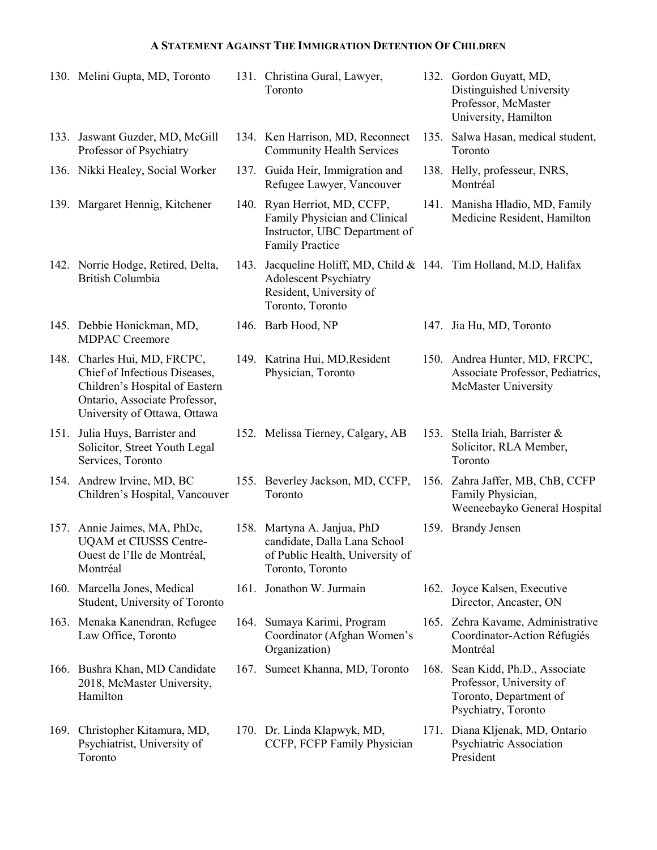|      | 130. Melini Gupta, MD, Toronto                                                                                                                                   |      | 131. Christina Gural, Lawyer,<br>Toronto                                                                                                          |      | 132. Gordon Guyatt, MD,<br>Distinguished University<br>Professor, McMaster<br>University, Hamilton       |
|------|------------------------------------------------------------------------------------------------------------------------------------------------------------------|------|---------------------------------------------------------------------------------------------------------------------------------------------------|------|----------------------------------------------------------------------------------------------------------|
|      | 133. Jaswant Guzder, MD, McGill<br>Professor of Psychiatry                                                                                                       |      | 134. Ken Harrison, MD, Reconnect<br><b>Community Health Services</b>                                                                              |      | 135. Salwa Hasan, medical student,<br>Toronto                                                            |
|      | 136. Nikki Healey, Social Worker                                                                                                                                 |      | 137. Guida Heir, Immigration and<br>Refugee Lawyer, Vancouver                                                                                     |      | 138. Helly, professeur, INRS,<br>Montréal                                                                |
|      | 139. Margaret Hennig, Kitchener                                                                                                                                  |      | 140. Ryan Herriot, MD, CCFP,<br>Family Physician and Clinical<br>Instructor, UBC Department of<br>Family Practice                                 |      | 141. Manisha Hladio, MD, Family<br>Medicine Resident, Hamilton                                           |
|      | 142. Norrie Hodge, Retired, Delta,<br><b>British Columbia</b>                                                                                                    |      | 143. Jacqueline Holiff, MD, Child & 144. Tim Holland, M.D, Halifax<br><b>Adolescent Psychiatry</b><br>Resident, University of<br>Toronto, Toronto |      |                                                                                                          |
|      | 145. Debbie Honickman, MD,<br><b>MDPAC Creemore</b>                                                                                                              |      | 146. Barb Hood, NP                                                                                                                                |      | 147. Jia Hu, MD, Toronto                                                                                 |
|      | 148. Charles Hui, MD, FRCPC,<br>Chief of Infectious Diseases,<br>Children's Hospital of Eastern<br>Ontario, Associate Professor,<br>University of Ottawa, Ottawa |      | 149. Katrina Hui, MD, Resident<br>Physician, Toronto                                                                                              |      | 150. Andrea Hunter, MD, FRCPC,<br>Associate Professor, Pediatrics,<br><b>McMaster University</b>         |
| 151. | Julia Huys, Barrister and<br>Solicitor, Street Youth Legal<br>Services, Toronto                                                                                  |      | 152. Melissa Tierney, Calgary, AB                                                                                                                 |      | 153. Stella Iriah, Barrister &<br>Solicitor, RLA Member,<br>Toronto                                      |
|      | 154. Andrew Irvine, MD, BC<br>Children's Hospital, Vancouver                                                                                                     |      | 155. Beverley Jackson, MD, CCFP,<br>Toronto                                                                                                       |      | 156. Zahra Jaffer, MB, ChB, CCFP<br>Family Physician,<br>Weeneebayko General Hospital                    |
| 157. | Annie Jaimes, MA, PhDc,<br>UQAM et CIUSSS Centre-<br>Ouest de l'Ile de Montréal,<br>Montréal                                                                     |      | 158. Martyna A. Janjua, PhD<br>candidate, Dalla Lana School<br>of Public Health, University of<br>Toronto, Toronto                                |      | 159. Brandy Jensen                                                                                       |
| 160. | Marcella Jones, Medical<br>Student, University of Toronto                                                                                                        |      | 161. Jonathon W. Jurmain                                                                                                                          |      | 162. Joyce Kalsen, Executive<br>Director, Ancaster, ON                                                   |
|      | 163. Menaka Kanendran, Refugee<br>Law Office, Toronto                                                                                                            | 164. | Sumaya Karimi, Program<br>Coordinator (Afghan Women's<br>Organization)                                                                            |      | 165. Zehra Kavame, Administrative<br>Coordinator-Action Réfugiés<br>Montréal                             |
|      | 166. Bushra Khan, MD Candidate<br>2018, McMaster University,<br>Hamilton                                                                                         |      | 167. Sumeet Khanna, MD, Toronto                                                                                                                   | 168. | Sean Kidd, Ph.D., Associate<br>Professor, University of<br>Toronto, Department of<br>Psychiatry, Toronto |
| 169. | Christopher Kitamura, MD,<br>Psychiatrist, University of<br>Toronto                                                                                              |      | 170. Dr. Linda Klapwyk, MD,<br>CCFP, FCFP Family Physician                                                                                        | 171. | Diana Kljenak, MD, Ontario<br>Psychiatric Association<br>President                                       |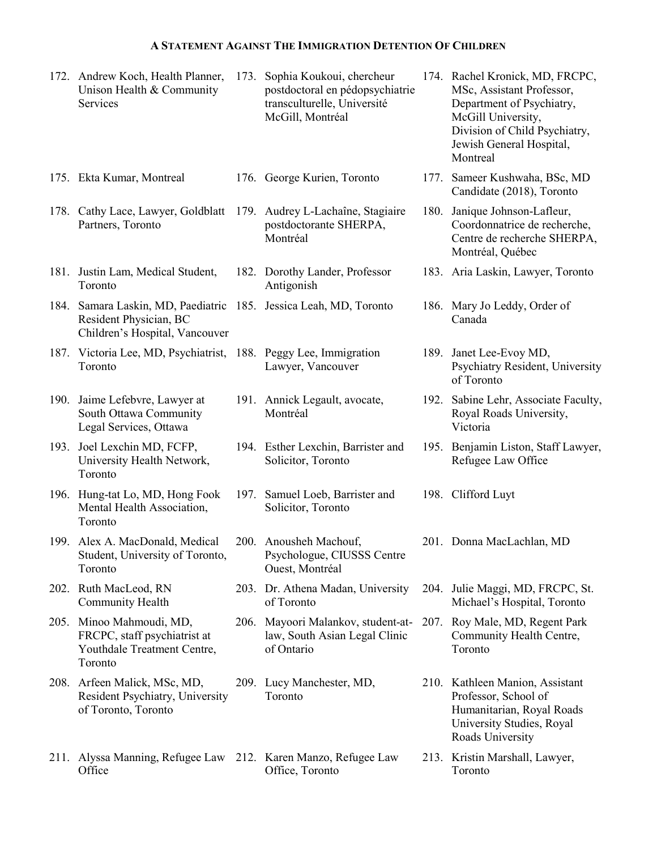|      | 172. Andrew Koch, Health Planner,<br>Unison Health & Community<br>Services                         | 173. Sophia Koukoui, chercheur<br>postdoctoral en pédopsychiatrie<br>transculturelle, Université<br>McGill, Montréal | 174. Rachel Kronick, MD, FRCPC,<br>MSc, Assistant Professor,<br>Department of Psychiatry,<br>McGill University,<br>Division of Child Psychiatry,<br>Jewish General Hospital,<br>Montreal |
|------|----------------------------------------------------------------------------------------------------|----------------------------------------------------------------------------------------------------------------------|------------------------------------------------------------------------------------------------------------------------------------------------------------------------------------------|
|      | 175. Ekta Kumar, Montreal                                                                          | 176. George Kurien, Toronto                                                                                          | 177. Sameer Kushwaha, BSc, MD<br>Candidate (2018), Toronto                                                                                                                               |
|      | 178. Cathy Lace, Lawyer, Goldblatt 179. Audrey L-Lachaîne, Stagiaire<br>Partners, Toronto          | postdoctorante SHERPA,<br>Montréal                                                                                   | 180. Janique Johnson-Lafleur,<br>Coordonnatrice de recherche,<br>Centre de recherche SHERPA,<br>Montréal, Québec                                                                         |
|      | 181. Justin Lam, Medical Student,<br>Toronto                                                       | 182. Dorothy Lander, Professor<br>Antigonish                                                                         | 183. Aria Laskin, Lawyer, Toronto                                                                                                                                                        |
|      | 184. Samara Laskin, MD, Paediatric<br>Resident Physician, BC<br>Children's Hospital, Vancouver     | 185. Jessica Leah, MD, Toronto                                                                                       | 186. Mary Jo Leddy, Order of<br>Canada                                                                                                                                                   |
|      | 187. Victoria Lee, MD, Psychiatrist,<br>Toronto                                                    | 188. Peggy Lee, Immigration<br>Lawyer, Vancouver                                                                     | 189. Janet Lee-Evoy MD,<br>Psychiatry Resident, University<br>of Toronto                                                                                                                 |
| 190. | Jaime Lefebvre, Lawyer at<br>South Ottawa Community<br>Legal Services, Ottawa                      | 191. Annick Legault, avocate,<br>Montréal                                                                            | 192. Sabine Lehr, Associate Faculty,<br>Royal Roads University,<br>Victoria                                                                                                              |
| 193. | Joel Lexchin MD, FCFP,<br>University Health Network,<br>Toronto                                    | 194. Esther Lexchin, Barrister and<br>Solicitor, Toronto                                                             | 195. Benjamin Liston, Staff Lawyer,<br>Refugee Law Office                                                                                                                                |
|      | 196. Hung-tat Lo, MD, Hong Fook<br>Mental Health Association,<br>Toronto                           | 197. Samuel Loeb, Barrister and<br>Solicitor, Toronto                                                                | 198. Clifford Luyt                                                                                                                                                                       |
|      | 199. Alex A. MacDonald, Medical<br>Student, University of Toronto,<br>Toronto                      | 200. Anousheh Machouf,<br>Psychologue, CIUSSS Centre<br>Ouest, Montréal                                              | 201. Donna MacLachlan, MD                                                                                                                                                                |
|      | 202. Ruth MacLeod, RN<br>Community Health                                                          | 203. Dr. Athena Madan, University<br>of Toronto                                                                      | 204. Julie Maggi, MD, FRCPC, St.<br>Michael's Hospital, Toronto                                                                                                                          |
|      | 205. Minoo Mahmoudi, MD,<br>FRCPC, staff psychiatrist at<br>Youthdale Treatment Centre,<br>Toronto | 206. Mayoori Malankov, student-at-<br>law, South Asian Legal Clinic<br>of Ontario                                    | 207. Roy Male, MD, Regent Park<br>Community Health Centre,<br>Toronto                                                                                                                    |
|      | 208. Arfeen Malick, MSc, MD,<br>Resident Psychiatry, University<br>of Toronto, Toronto             | 209. Lucy Manchester, MD,<br>Toronto                                                                                 | 210. Kathleen Manion, Assistant<br>Professor, School of<br>Humanitarian, Royal Roads<br>University Studies, Royal<br>Roads University                                                    |
|      | 211. Alyssa Manning, Refugee Law 212. Karen Manzo, Refugee Law                                     |                                                                                                                      | 213. Kristin Marshall, Lawyer,                                                                                                                                                           |

Office, Toronto

Office

213. Kristin Marshall, Lawyer, Toronto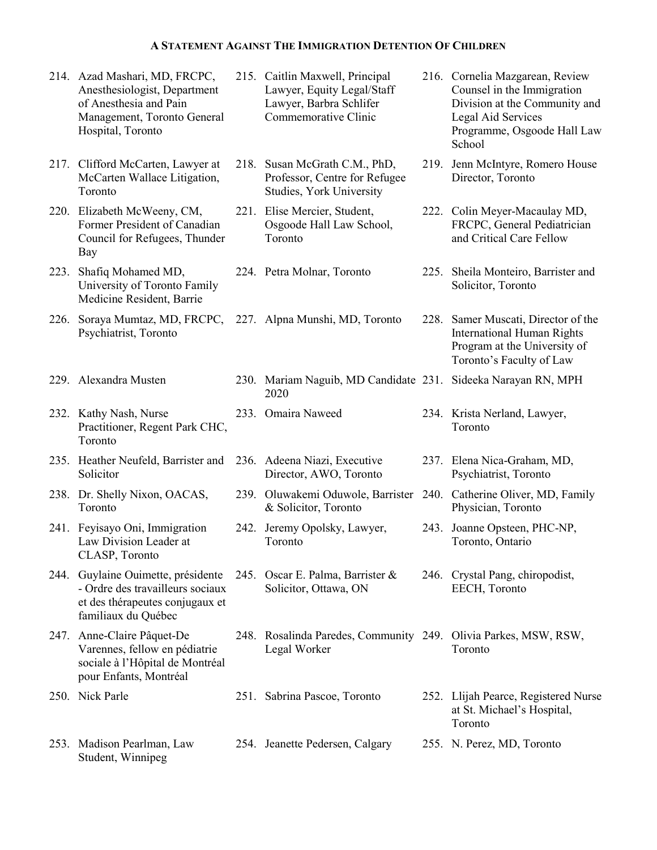214. Azad Mashari, MD, FRCPC, Anesthesiologist, Department of Anesthesia and Pain Management, Toronto General Hospital, Toronto 215. Caitlin Maxwell, Principal Lawyer, Equity Legal/Staff Lawyer, Barbra Schlifer Commemorative Clinic 216. Cornelia Mazgarean, Review Counsel in the Immigration Division at the Community and Legal Aid Services Programme, Osgoode Hall Law **School** 217. Clifford McCarten, Lawyer at McCarten Wallace Litigation, Toronto 218. Susan McGrath C.M., PhD, Professor, Centre for Refugee Studies, York University 219. Jenn McIntyre, Romero House Director, Toronto 220. Elizabeth McWeeny, CM, Former President of Canadian Council for Refugees, Thunder Bay 221. Elise Mercier, Student, Osgoode Hall Law School, Toronto 222. Colin Meyer-Macaulay MD, FRCPC, General Pediatrician and Critical Care Fellow 223. Shafiq Mohamed MD, University of Toronto Family Medicine Resident, Barrie 224. Petra Molnar, Toronto 225. Sheila Monteiro, Barrister and Solicitor, Toronto 226. Soraya Mumtaz, MD, FRCPC, 227. Alpna Munshi, MD, Toronto 228. Samer Muscati, Director of the Psychiatrist, Toronto International Human Rights Program at the University of Toronto's Faculty of Law 229. Alexandra Musten 230. Mariam Naguib, MD Candidate 231. Sideeka Narayan RN, MPH 2020 232. Kathy Nash, Nurse Practitioner, Regent Park CHC, Toronto 233. Omaira Naweed 234. Krista Nerland, Lawyer, Toronto 235. Heather Neufeld, Barrister and Solicitor 236. Adeena Niazi, Executive Director, AWO, Toronto 237. Elena Nica-Graham, MD, Psychiatrist, Toronto 238. Dr. Shelly Nixon, OACAS, Toronto 239. Oluwakemi Oduwole, Barrister 240. Catherine Oliver, MD, Family & Solicitor, Toronto Physician, Toronto 241. Feyisayo Oni, Immigration Law Division Leader at CLASP, Toronto 242. Jeremy Opolsky, Lawyer, Toronto 243. Joanne Opsteen, PHC-NP, Toronto, Ontario 244. Guylaine Ouimette, présidente - Ordre des travailleurs sociaux et des thérapeutes conjugaux et familiaux du Québec 245. Oscar E. Palma, Barrister & Solicitor, Ottawa, ON 246. Crystal Pang, chiropodist, EECH, Toronto 247. Anne-Claire Pâquet-De Varennes, fellow en pédiatrie sociale à l'Hôpital de Montréal pour Enfants, Montréal 248. Rosalinda Paredes, Community 249. Olivia Parkes, MSW, RSW, Legal Worker Toronto 250. Nick Parle 251. Sabrina Pascoe, Toronto 252. Llijah Pearce, Registered Nurse at St. Michael's Hospital, Toronto 253. Madison Pearlman, Law Student, Winnipeg 254. Jeanette Pedersen, Calgary 255. N. Perez, MD, Toronto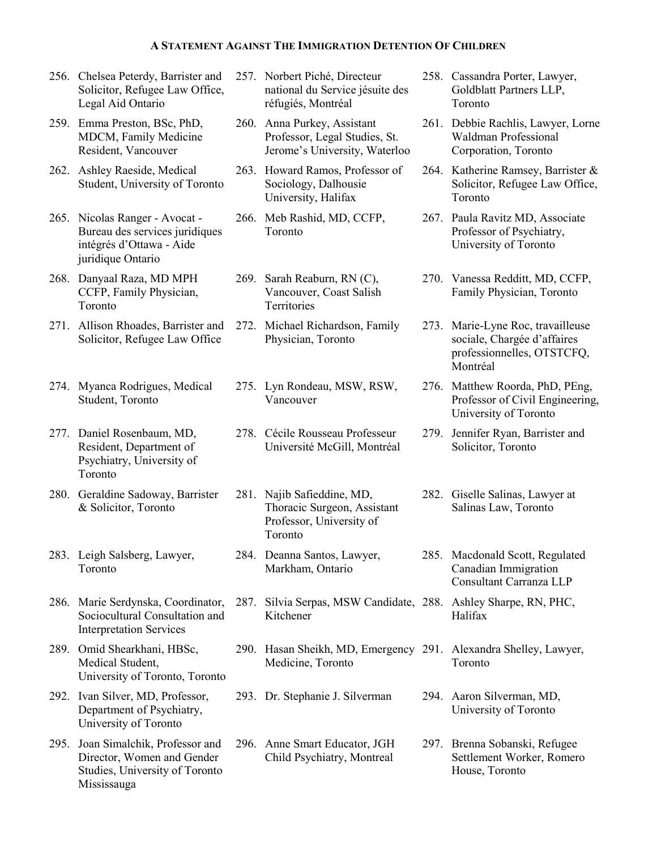- 256. Chelsea Peterdy, Barrister and Solicitor, Refugee Law Office, Legal Aid Ontario
- 259. Emma Preston, BSc, PhD, MDCM, Family Medicine Resident, Vancouver
- 262. Ashley Raeside, Medical Student, University of Toronto
- 265. Nicolas Ranger Avocat Bureau des services juridiques intégrés d'Ottawa - Aide juridique Ontario
- 268. Danyaal Raza, MD MPH CCFP, Family Physician, Toronto
- 271. Allison Rhoades, Barrister and Solicitor, Refugee Law Office
- 274. Myanca Rodrigues, Medical Student, Toronto
- 277. Daniel Rosenbaum, MD, Resident, Department of Psychiatry, University of Toronto
- 280. Geraldine Sadoway, Barrister & Solicitor, Toronto
- 283. Leigh Salsberg, Lawyer, Toronto
- 286. Marie Serdynska, Coordinator, Sociocultural Consultation and Interpretation Services
- 289. Omid Shearkhani, HBSc, Medical Student, University of Toronto, Toronto
- 292. Ivan Silver, MD, Professor, Department of Psychiatry, University of Toronto
- 295. Joan Simalchik, Professor and Director, Women and Gender Studies, University of Toronto Mississauga
- 257. Norbert Piché, Directeur national du Service jésuite des réfugiés, Montréal
- 260. Anna Purkey, Assistant Professor, Legal Studies, St. Jerome's University, Waterloo
- 263. Howard Ramos, Professor of Sociology, Dalhousie University, Halifax
- 266. Meb Rashid, MD, CCFP, Toronto
- 269. Sarah Reaburn, RN (C), Vancouver, Coast Salish **Territories**
- 272. Michael Richardson, Family Physician, Toronto
- 275. Lyn Rondeau, MSW, RSW, Vancouver
- 278. Cécile Rousseau Professeur Université McGill, Montréal
- 281. Najib Safieddine, MD, Thoracic Surgeon, Assistant Professor, University of Toronto
- 284. Deanna Santos, Lawyer, Markham, Ontario
- 287. Silvia Serpas, MSW Candidate, 288. Ashley Sharpe, RN, PHC, Kitchener
- 290. Hasan Sheikh, MD, Emergency 291. Alexandra Shelley, Lawyer, Medicine, Toronto
- 
- 296. Anne Smart Educator, JGH Child Psychiatry, Montreal
- 258. Cassandra Porter, Lawyer, Goldblatt Partners LLP, Toronto
- 261. Debbie Rachlis, Lawyer, Lorne Waldman Professional Corporation, Toronto
- 264. Katherine Ramsey, Barrister & Solicitor, Refugee Law Office, Toronto
- 267. Paula Ravitz MD, Associate Professor of Psychiatry, University of Toronto
- 270. Vanessa Redditt, MD, CCFP, Family Physician, Toronto
- 273. Marie-Lyne Roc, travailleuse sociale, Chargée d'affaires professionnelles, OTSTCFQ, Montréal
- 276. Matthew Roorda, PhD, PEng, Professor of Civil Engineering, University of Toronto
- 279. Jennifer Ryan, Barrister and Solicitor, Toronto
- 282. Giselle Salinas, Lawyer at Salinas Law, Toronto
- 285. Macdonald Scott, Regulated Canadian Immigration Consultant Carranza LLP
	- Halifax
	- Toronto
- 293. Dr. Stephanie J. Silverman 294. Aaron Silverman, MD, University of Toronto
	- 297. Brenna Sobanski, Refugee Settlement Worker, Romero House, Toronto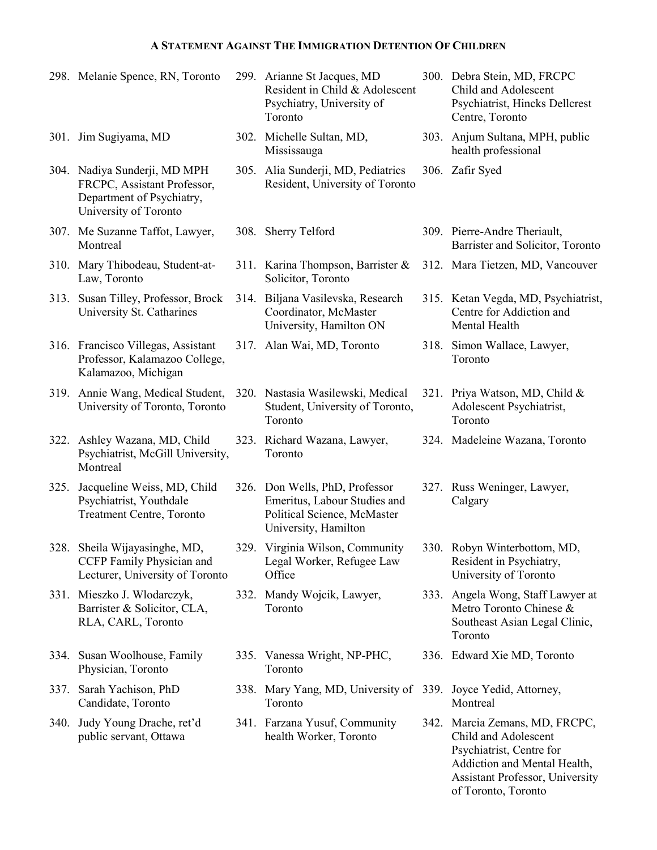|      | 298. Melanie Spence, RN, Toronto                                                                                  | 299. Arianne St Jacques, MD<br>Resident in Child & Adolescent<br>Psychiatry, University of<br>Toronto                 | 300. Debra Stein, MD, FRCPC<br>Child and Adolescent<br>Psychiatrist, Hincks Dellcrest<br>Centre, Toronto |
|------|-------------------------------------------------------------------------------------------------------------------|-----------------------------------------------------------------------------------------------------------------------|----------------------------------------------------------------------------------------------------------|
|      | 301. Jim Sugiyama, MD                                                                                             | 302. Michelle Sultan, MD,<br>Mississauga                                                                              | 303. Anjum Sultana, MPH, public<br>health professional                                                   |
|      | 304. Nadiya Sunderji, MD MPH<br>FRCPC, Assistant Professor,<br>Department of Psychiatry,<br>University of Toronto | 305. Alia Sunderji, MD, Pediatrics<br>Resident, University of Toronto                                                 | 306. Zafir Syed                                                                                          |
|      | 307. Me Suzanne Taffot, Lawyer,<br>Montreal                                                                       | 308. Sherry Telford                                                                                                   | 309. Pierre-Andre Theriault,<br>Barrister and Solicitor, Toronto                                         |
|      | 310. Mary Thibodeau, Student-at-<br>Law, Toronto                                                                  | 311. Karina Thompson, Barrister &<br>Solicitor, Toronto                                                               | 312. Mara Tietzen, MD, Vancouver                                                                         |
|      | 313. Susan Tilley, Professor, Brock<br>University St. Catharines                                                  | 314. Biljana Vasilevska, Research<br>Coordinator, McMaster<br>University, Hamilton ON                                 | 315. Ketan Vegda, MD, Psychiatrist,<br>Centre for Addiction and<br>Mental Health                         |
|      | 316. Francisco Villegas, Assistant<br>Professor, Kalamazoo College,<br>Kalamazoo, Michigan                        | 317. Alan Wai, MD, Toronto                                                                                            | 318. Simon Wallace, Lawyer,<br>Toronto                                                                   |
|      | 319. Annie Wang, Medical Student,<br>University of Toronto, Toronto                                               | 320. Nastasia Wasilewski, Medical<br>Student, University of Toronto,<br>Toronto                                       | 321. Priya Watson, MD, Child &<br>Adolescent Psychiatrist,<br>Toronto                                    |
| 322. | Ashley Wazana, MD, Child<br>Psychiatrist, McGill University,<br>Montreal                                          | 323. Richard Wazana, Lawyer,<br>Toronto                                                                               | 324. Madeleine Wazana, Toronto                                                                           |
| 325. | Jacqueline Weiss, MD, Child<br>Psychiatrist, Youthdale<br>Treatment Centre, Toronto                               | 326. Don Wells, PhD, Professor<br>Emeritus, Labour Studies and<br>Political Science, McMaster<br>University, Hamilton | 327. Russ Weninger, Lawyer,<br>Calgary                                                                   |
|      | 328. Sheila Wijayasinghe, MD,<br>CCFP Family Physician and<br>Lecturer, University of Toronto                     | 329. Virginia Wilson, Community<br>Legal Worker, Refugee Law<br>Office                                                | 330. Robyn Winterbottom, MD.<br>Resident in Psychiatry,<br>University of Toronto                         |
|      | 331. Mieszko J. Włodarczyk,<br>Barrister & Solicitor, CLA,<br>RLA, CARL, Toronto                                  | 332. Mandy Wojcik, Lawyer,<br>Toronto                                                                                 | 333. Angela Wong, Staff Lawyer at<br>Metro Toronto Chinese &<br>Southeast Asian Legal Clinic,<br>Toronto |
|      | 334. Susan Woolhouse, Family<br>Physician, Toronto                                                                | 335. Vanessa Wright, NP-PHC,<br>Toronto                                                                               | 336. Edward Xie MD, Toronto                                                                              |
|      | 337. Sarah Yachison, PhD<br>Candidate, Toronto                                                                    | 338. Mary Yang, MD, University of 339. Joyce Yedid, Attorney,<br>Toronto                                              | Montreal                                                                                                 |
|      | 340. Judy Young Drache, ret'd<br>public servant, Ottawa                                                           | 341. Farzana Yusuf, Community<br>health Worker, Toronto                                                               | 342. Marcia Zemans, MD, FRCPC,<br>Child and Adolescent<br>Psychiatrist, Centre for                       |

Addiction and Mental Health, Assistant Professor, University of Toronto, Toronto